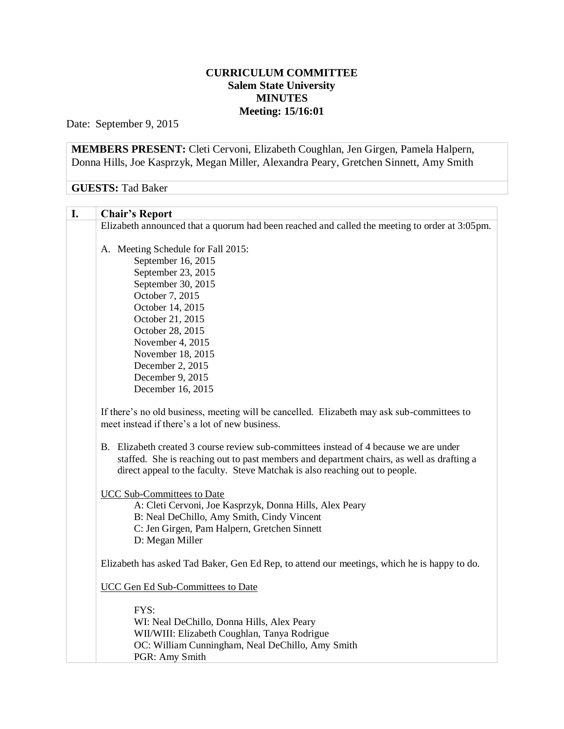## **CURRICULUM COMMITTEE Salem State University MINUTES Meeting: 15/16:01**

Date: September 9, 2015

**MEMBERS PRESENT:** Cleti Cervoni, Elizabeth Coughlan, Jen Girgen, Pamela Halpern, Donna Hills, Joe Kasprzyk, Megan Miller, Alexandra Peary, Gretchen Sinnett, Amy Smith

## **GUESTS:** Tad Baker

## **I. Chair's Report** Elizabeth announced that a quorum had been reached and called the meeting to order at 3:05pm. A. Meeting Schedule for Fall 2015: September 16, 2015 September 23, 2015 September 30, 2015 October 7, 2015 October 14, 2015 October 21, 2015 October 28, 2015 November 4, 2015 November 18, 2015 December 2, 2015 December 9, 2015 December 16, 2015 If there's no old business, meeting will be cancelled. Elizabeth may ask sub-committees to meet instead if there's a lot of new business. B. Elizabeth created 3 course review sub-committees instead of 4 because we are under staffed. She is reaching out to past members and department chairs, as well as drafting a direct appeal to the faculty. Steve Matchak is also reaching out to people. UCC Sub-Committees to Date A: Cleti Cervoni, Joe Kasprzyk, Donna Hills, Alex Peary B: Neal DeChillo, Amy Smith, Cindy Vincent C: Jen Girgen, Pam Halpern, Gretchen Sinnett D: Megan Miller Elizabeth has asked Tad Baker, Gen Ed Rep, to attend our meetings, which he is happy to do. UCC Gen Ed Sub-Committees to Date FYS: WI: Neal DeChillo, Donna Hills, Alex Peary WII/WIII: Elizabeth Coughlan, Tanya Rodrigue OC: William Cunningham, Neal DeChillo, Amy Smith PGR: Amy Smith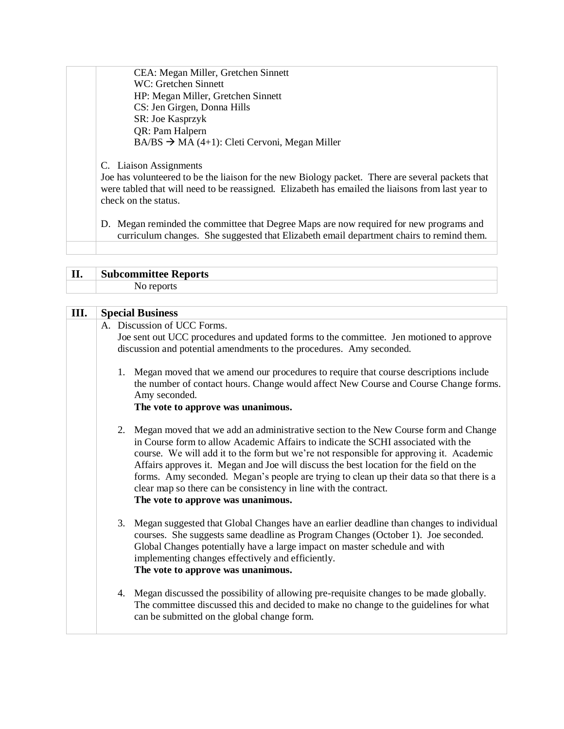| CEA: Megan Miller, Gretchen Sinnett                                                                                                                                                                                                                     |
|---------------------------------------------------------------------------------------------------------------------------------------------------------------------------------------------------------------------------------------------------------|
| WC: Gretchen Sinnett                                                                                                                                                                                                                                    |
| HP: Megan Miller, Gretchen Sinnett                                                                                                                                                                                                                      |
| CS: Jen Girgen, Donna Hills                                                                                                                                                                                                                             |
| SR: Joe Kasprzyk                                                                                                                                                                                                                                        |
| QR: Pam Halpern                                                                                                                                                                                                                                         |
| $BA/BS \rightarrow MA(4+1)$ : Cleti Cervoni, Megan Miller                                                                                                                                                                                               |
| C. Liaison Assignments<br>Joe has volunteered to be the liaison for the new Biology packet. There are several packets that<br>were tabled that will need to be reassigned. Elizabeth has emailed the liaisons from last year to<br>check on the status. |
| D. Megan reminded the committee that Degree Maps are now required for new programs and<br>curriculum changes. She suggested that Elizabeth email department chairs to remind them.                                                                      |
|                                                                                                                                                                                                                                                         |

Г

| $\mathbf{II}$ | <b>Subcommittee Reports</b> |  |
|---------------|-----------------------------|--|
|               |                             |  |

| III. | <b>Special Business</b>                                                                                                                                                                        |                                                                                                                                                                                                                                                                                                                                                                                                                                                                                                                                                                        |  |
|------|------------------------------------------------------------------------------------------------------------------------------------------------------------------------------------------------|------------------------------------------------------------------------------------------------------------------------------------------------------------------------------------------------------------------------------------------------------------------------------------------------------------------------------------------------------------------------------------------------------------------------------------------------------------------------------------------------------------------------------------------------------------------------|--|
|      | A. Discussion of UCC Forms.<br>Joe sent out UCC procedures and updated forms to the committee. Jen motioned to approve<br>discussion and potential amendments to the procedures. Amy seconded. |                                                                                                                                                                                                                                                                                                                                                                                                                                                                                                                                                                        |  |
|      |                                                                                                                                                                                                | 1. Megan moved that we amend our procedures to require that course descriptions include<br>the number of contact hours. Change would affect New Course and Course Change forms.<br>Amy seconded.<br>The vote to approve was unanimous.                                                                                                                                                                                                                                                                                                                                 |  |
|      |                                                                                                                                                                                                | 2. Megan moved that we add an administrative section to the New Course form and Change<br>in Course form to allow Academic Affairs to indicate the SCHI associated with the<br>course. We will add it to the form but we're not responsible for approving it. Academic<br>Affairs approves it. Megan and Joe will discuss the best location for the field on the<br>forms. Amy seconded. Megan's people are trying to clean up their data so that there is a<br>clear map so there can be consistency in line with the contract.<br>The vote to approve was unanimous. |  |
|      |                                                                                                                                                                                                | 3. Megan suggested that Global Changes have an earlier deadline than changes to individual<br>courses. She suggests same deadline as Program Changes (October 1). Joe seconded.<br>Global Changes potentially have a large impact on master schedule and with<br>implementing changes effectively and efficiently.<br>The vote to approve was unanimous.                                                                                                                                                                                                               |  |
|      |                                                                                                                                                                                                | 4. Megan discussed the possibility of allowing pre-requisite changes to be made globally.<br>The committee discussed this and decided to make no change to the guidelines for what<br>can be submitted on the global change form.                                                                                                                                                                                                                                                                                                                                      |  |